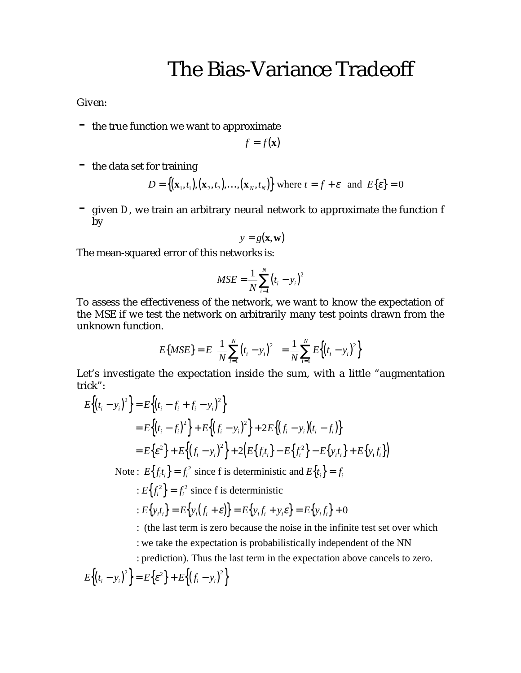## The Bias-Variance Tradeoff

Given:

- the true function we want to approximate

$$
f = f(\mathbf{x})
$$

 $-$  the data set for training

$$
D = \{ (\mathbf{x}_1, t_1), (\mathbf{x}_2, t_2), \dots, (\mathbf{x}_N, t_N) \} \text{ where } t = f + \varepsilon \text{ and } E\{\varepsilon\} = 0
$$

- given *D*, we train an arbitrary neural network to approximate the function f by

$$
y = g(\mathbf{x}, \mathbf{w})
$$

The mean-squared error of this networks is:

$$
MSE = \frac{1}{N} \sum_{i=1}^{N} (t_i - y_i)^2
$$

To assess the effectiveness of the network, we want to know the expectation of the MSE if we test the network on arbitrarily many test points drawn from the unknown function.

$$
E\{MSE\} = E\left\{\frac{1}{N}\sum_{i=1}^{N} (t_i - y_i)^2\right\} = \frac{1}{N}\sum_{i=1}^{N} E\left\{\left(t_i - y_i\right)^2\right\}
$$

Let's investigate the expectation inside the sum, with a little "augmentation trick":

$$
E\{(t_i - y_i)^2\} = E\{(t_i - f_i + f_i - y_i)^2\}
$$
  
=  $E\{(t_i - f_i)^2\} + E\{(f_i - y_i)^2\} + 2E\{(f_i - y_i)(t_i - f_i)\}$   
=  $E\{\varepsilon^2\} + E\{(f_i - y_i)^2\} + 2(E\{f_i t_i\} - E\{f_i^2\} - E\{y_i t_i\} + E\{y_i f_i\})$   
Note:  $E\{f_i t_i\} = f_i^2$  since f is deterministic and  $E\{t_i\} = f_i$ 

 $E\left\{f_i^2\right\} = f_i^2$  since f is deterministic

$$
: E\big\{y_i t_i\big\} = E\big\{y_i \big(f_i + \varepsilon\big)\big\} = E\big\{y_i f_i + y_i \varepsilon\big\} = E\big\{y_i f_i\big\} + 0
$$

: (the last term is zero because the noise in the infinite test set over which : we take the expectation is probabilistically independent of the NN

: prediction). Thus the last term in the expectation above cancels to zero.

$$
E\left\{ \left(t_i - y_i\right)^2 \right\} = E\left\{ \varepsilon^2 \right\} + E\left\{ \left(f_i - y_i\right)^2 \right\}
$$